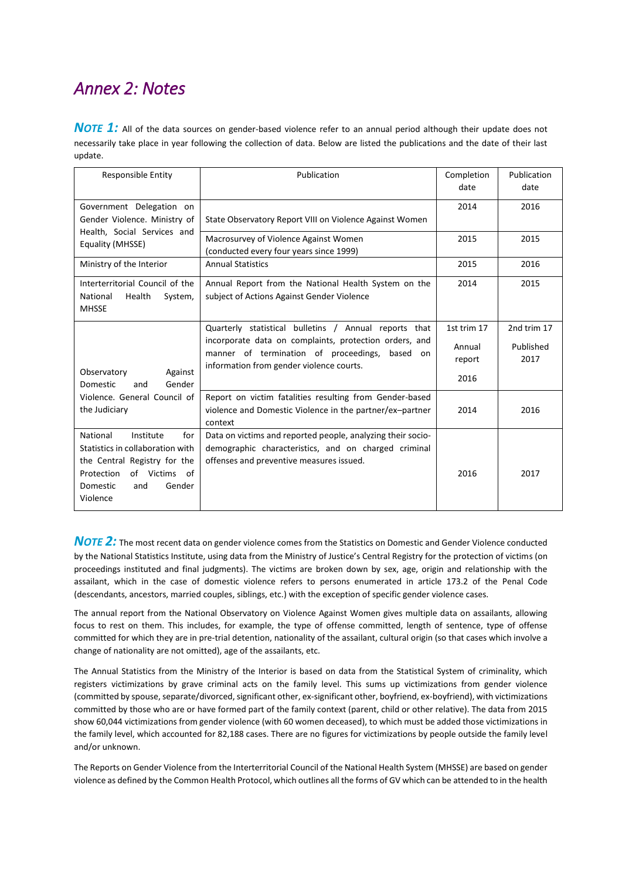## *Annex 2: Notes*

**NOTE 1:** All of the data sources on gender-based violence refer to an annual period although their update does not necessarily take place in year following the collection of data. Below are listed the publications and the date of their last update.

| <b>Responsible Entity</b>                                                                                                                                                   | Publication                                                                                                                                                                                                   | Completion<br>date                      | Publication<br>date              |
|-----------------------------------------------------------------------------------------------------------------------------------------------------------------------------|---------------------------------------------------------------------------------------------------------------------------------------------------------------------------------------------------------------|-----------------------------------------|----------------------------------|
| Government Delegation on                                                                                                                                                    |                                                                                                                                                                                                               | 2014                                    | 2016                             |
| Gender Violence. Ministry of<br>Health, Social Services and<br>Equality (MHSSE)                                                                                             | State Observatory Report VIII on Violence Against Women                                                                                                                                                       |                                         |                                  |
|                                                                                                                                                                             | Macrosurvey of Violence Against Women<br>(conducted every four years since 1999)                                                                                                                              | 2015                                    | 2015                             |
| Ministry of the Interior                                                                                                                                                    | <b>Annual Statistics</b>                                                                                                                                                                                      | 2015                                    | 2016                             |
| Interterritorial Council of the<br>National<br>Health<br>System,<br><b>MHSSE</b>                                                                                            | Annual Report from the National Health System on the<br>subject of Actions Against Gender Violence                                                                                                            | 2014                                    | 2015                             |
| Observatory<br>Against<br>Gender<br>Domestic<br>and<br>Violence. General Council of<br>the Judiciary                                                                        | Quarterly statistical bulletins / Annual reports that<br>incorporate data on complaints, protection orders, and<br>manner of termination of proceedings, based on<br>information from gender violence courts. | 1st trim 17<br>Annual<br>report<br>2016 | 2nd trim 17<br>Published<br>2017 |
|                                                                                                                                                                             | Report on victim fatalities resulting from Gender-based<br>violence and Domestic Violence in the partner/ex-partner<br>context                                                                                | 2014                                    | 2016                             |
| National<br>Institute<br>for<br>Statistics in collaboration with<br>the Central Registry for the<br>Protection<br>of Victims<br>of<br>Gender<br>Domestic<br>and<br>Violence | Data on victims and reported people, analyzing their socio-<br>demographic characteristics, and on charged criminal<br>offenses and preventive measures issued.                                               | 2016                                    | 2017                             |

**NOTE 2:** The most recent data on gender violence comes from the Statistics on Domestic and Gender Violence conducted by the National Statistics Institute, using data from the Ministry of Justice's Central Registry for the protection of victims (on proceedings instituted and final judgments). The victims are broken down by sex, age, origin and relationship with the assailant, which in the case of domestic violence refers to persons enumerated in article 173.2 of the Penal Code (descendants, ancestors, married couples, siblings, etc.) with the exception of specific gender violence cases.

The annual report from the National Observatory on Violence Against Women gives multiple data on assailants, allowing focus to rest on them. This includes, for example, the type of offense committed, length of sentence, type of offense committed for which they are in pre-trial detention, nationality of the assailant, cultural origin (so that cases which involve a change of nationality are not omitted), age of the assailants, etc.

The Annual Statistics from the Ministry of the Interior is based on data from the Statistical System of criminality, which registers victimizations by grave criminal acts on the family level. This sums up victimizations from gender violence (committed by spouse, separate/divorced, significant other, ex-significant other, boyfriend, ex-boyfriend), with victimizations committed by those who are or have formed part of the family context (parent, child or other relative). The data from 2015 show 60,044 victimizations from gender violence (with 60 women deceased), to which must be added those victimizations in the family level, which accounted for 82,188 cases. There are no figures for victimizations by people outside the family level and/or unknown.

The Reports on Gender Violence from the Interterritorial Council of the National Health System (MHSSE) are based on gender violence as defined by the Common Health Protocol, which outlines all the forms of GV which can be attended to in the health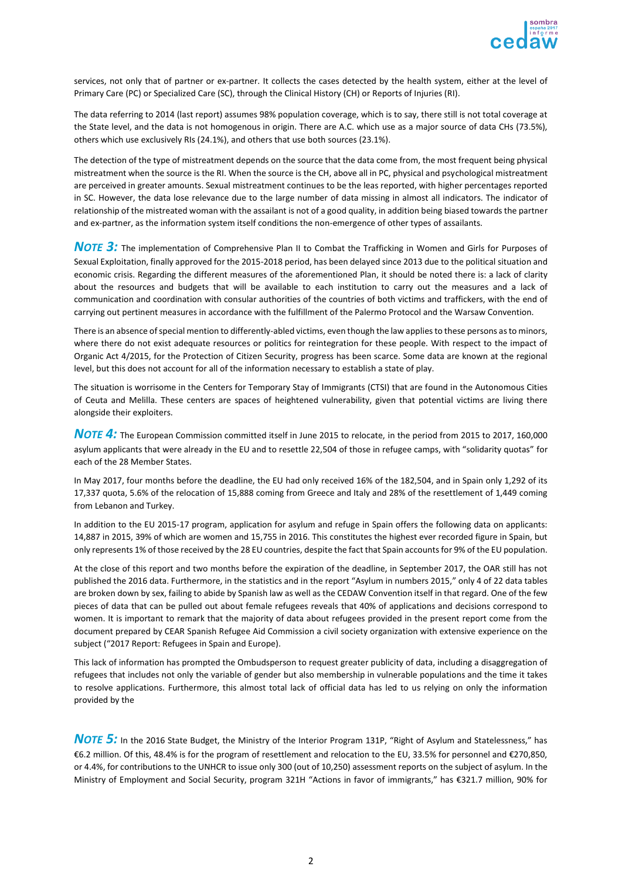

services, not only that of partner or ex-partner. It collects the cases detected by the health system, either at the level of Primary Care (PC) or Specialized Care (SC), through the Clinical History (CH) or Reports of Injuries (RI).

The data referring to 2014 (last report) assumes 98% population coverage, which is to say, there still is not total coverage at the State level, and the data is not homogenous in origin. There are A.C. which use as a major source of data CHs (73.5%), others which use exclusively RIs (24.1%), and others that use both sources (23.1%).

The detection of the type of mistreatment depends on the source that the data come from, the most frequent being physical mistreatment when the source is the RI. When the source is the CH, above all in PC, physical and psychological mistreatment are perceived in greater amounts. Sexual mistreatment continues to be the leas reported, with higher percentages reported in SC. However, the data lose relevance due to the large number of data missing in almost all indicators. The indicator of relationship of the mistreated woman with the assailant is not of a good quality, in addition being biased towards the partner and ex-partner, as the information system itself conditions the non-emergence of other types of assailants.

**NOTE 3:** The implementation of Comprehensive Plan II to Combat the Trafficking in Women and Girls for Purposes of Sexual Exploitation, finally approved for the 2015-2018 period, has been delayed since 2013 due to the political situation and economic crisis. Regarding the different measures of the aforementioned Plan, it should be noted there is: a lack of clarity about the resources and budgets that will be available to each institution to carry out the measures and a lack of communication and coordination with consular authorities of the countries of both victims and traffickers, with the end of carrying out pertinent measures in accordance with the fulfillment of the Palermo Protocol and the Warsaw Convention.

There is an absence of special mention to differently-abled victims, even though the law applies to these persons as to minors, where there do not exist adequate resources or politics for reintegration for these people. With respect to the impact of Organic Act 4/2015, for the Protection of Citizen Security, progress has been scarce. Some data are known at the regional level, but this does not account for all of the information necessary to establish a state of play.

The situation is worrisome in the Centers for Temporary Stay of Immigrants (CTSI) that are found in the Autonomous Cities of Ceuta and Melilla. These centers are spaces of heightened vulnerability, given that potential victims are living there alongside their exploiters.

*NOTE 4:* The European Commission committed itself in June 2015 to relocate, in the period from 2015 to 2017, 160,000 asylum applicants that were already in the EU and to resettle 22,504 of those in refugee camps, with "solidarity quotas" for each of the 28 Member States.

In May 2017, four months before the deadline, the EU had only received 16% of the 182,504, and in Spain only 1,292 of its 17,337 quota, 5.6% of the relocation of 15,888 coming from Greece and Italy and 28% of the resettlement of 1,449 coming from Lebanon and Turkey.

In addition to the EU 2015-17 program, application for asylum and refuge in Spain offers the following data on applicants: 14,887 in 2015, 39% of which are women and 15,755 in 2016. This constitutes the highest ever recorded figure in Spain, but only represents 1% of those received by the 28 EU countries, despite the fact that Spain accounts for 9% of the EU population.

At the close of this report and two months before the expiration of the deadline, in September 2017, the OAR still has not published the 2016 data. Furthermore, in the statistics and in the report "Asylum in numbers 2015," only 4 of 22 data tables are broken down by sex, failing to abide by Spanish law as well as the CEDAW Convention itself in that regard. One of the few pieces of data that can be pulled out about female refugees reveals that 40% of applications and decisions correspond to women. It is important to remark that the majority of data about refugees provided in the present report come from the document prepared by CEAR Spanish Refugee Aid Commission a civil society organization with extensive experience on the subject ("2017 Report: Refugees in Spain and Europe).

This lack of information has prompted the Ombudsperson to request greater publicity of data, including a disaggregation of refugees that includes not only the variable of gender but also membership in vulnerable populations and the time it takes to resolve applications. Furthermore, this almost total lack of official data has led to us relying on only the information provided by the

**NOTE 5:** In the 2016 State Budget, the Ministry of the Interior Program 131P, "Right of Asylum and Statelessness," has €6.2 million. Of this, 48.4% is for the program of resettlement and relocation to the EU, 33.5% for personnel and €270,850, or 4.4%, for contributions to the UNHCR to issue only 300 (out of 10,250) assessment reports on the subject of asylum. In the Ministry of Employment and Social Security, program 321H "Actions in favor of immigrants," has €321.7 million, 90% for